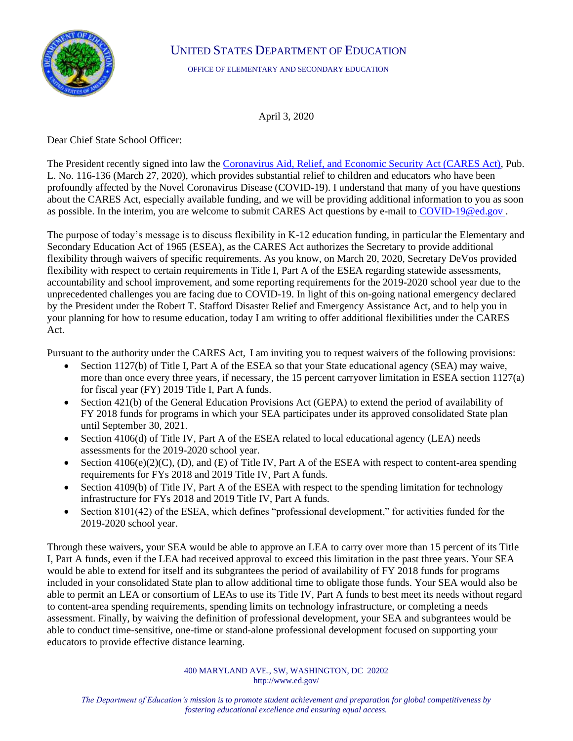

## UNITED STATES DEPARTMENT OF EDUCATION

OFFICE OF ELEMENTARY AND SECONDARY EDUCATION

April 3, 2020

Dear Chief State School Officer:

The President recently signed into law the [Coronavirus Aid, Relief, and Economic Security Act \(CARES Act\),](https://www.congress.gov/bill/116th-congress/house-bill/748/text) Pub. L. No. 116-136 (March 27, 2020), which provides substantial relief to children and educators who have been profoundly affected by the Novel Coronavirus Disease (COVID-19). I understand that many of you have questions about the CARES Act, especially available funding, and we will be providing additional information to you as soon as possible. In the interim, you are welcome to submit CARES Act questions by e-mail to [COVID-19@ed.gov .](mailto:%20COVID-19@ed.gov)

The purpose of today's message is to discuss flexibility in K-12 education funding, in particular the Elementary and Secondary Education Act of 1965 (ESEA), as the CARES Act authorizes the Secretary to provide additional flexibility through waivers of specific requirements. As you know, on March 20, 2020, Secretary DeVos provided flexibility with respect to certain requirements in Title I, Part A of the ESEA regarding statewide assessments, accountability and school improvement, and some reporting requirements for the 2019-2020 school year due to the unprecedented challenges you are facing due to COVID-19. In light of this on-going national emergency declared by the President under the Robert T. Stafford Disaster Relief and Emergency Assistance Act, and to help you in your planning for how to resume education, today I am writing to offer additional flexibilities under the CARES Act.

Pursuant to the authority under the CARES Act, I am inviting you to request waivers of the following provisions:

- Section 1127(b) of Title I, Part A of the ESEA so that your State educational agency (SEA) may waive, more than once every three years, if necessary, the 15 percent carryover limitation in ESEA section 1127(a) for fiscal year (FY) 2019 Title I, Part A funds.
- Section 421(b) of the General Education Provisions Act (GEPA) to extend the period of availability of FY 2018 funds for programs in which your SEA participates under its approved consolidated State plan until September 30, 2021.
- Section 4106(d) of Title IV, Part A of the ESEA related to local educational agency (LEA) needs assessments for the 2019-2020 school year.
- Section  $4106(e)(2)(C)$ , (D), and (E) of Title IV, Part A of the ESEA with respect to content-area spending requirements for FYs 2018 and 2019 Title IV, Part A funds.
- Section 4109(b) of Title IV, Part A of the ESEA with respect to the spending limitation for technology infrastructure for FYs 2018 and 2019 Title IV, Part A funds.
- Section 8101(42) of the ESEA, which defines "professional development," for activities funded for the 2019-2020 school year.

Through these waivers, your SEA would be able to approve an LEA to carry over more than 15 percent of its Title I, Part A funds, even if the LEA had received approval to exceed this limitation in the past three years. Your SEA would be able to extend for itself and its subgrantees the period of availability of FY 2018 funds for programs included in your consolidated State plan to allow additional time to obligate those funds. Your SEA would also be able to permit an LEA or consortium of LEAs to use its Title IV, Part A funds to best meet its needs without regard to content-area spending requirements, spending limits on technology infrastructure, or completing a needs assessment. Finally, by waiving the definition of professional development, your SEA and subgrantees would be able to conduct time-sensitive, one-time or stand-alone professional development focused on supporting your educators to provide effective distance learning.

> 400 MARYLAND AVE., SW, WASHINGTON, DC 20202 http://www.ed.gov/